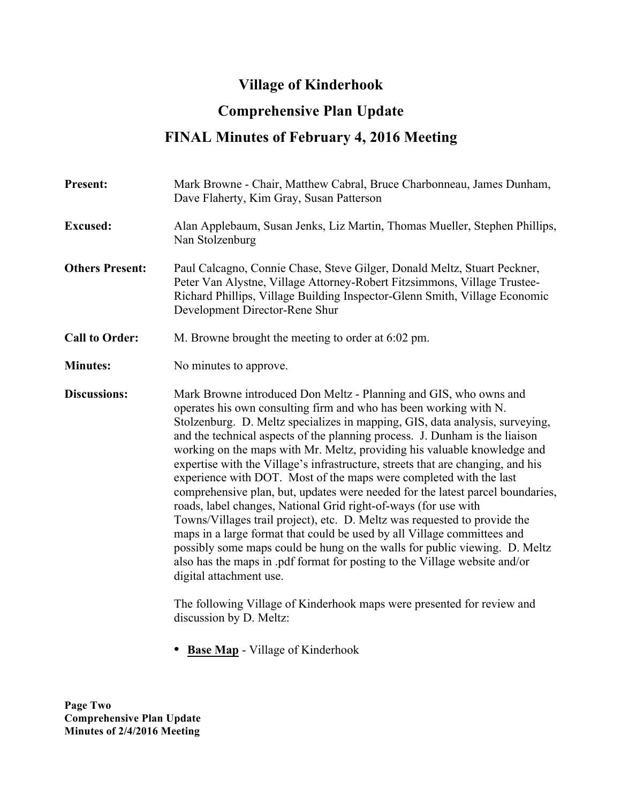## **Village of Kinderhook**

## **Comprehensive Plan Update**

## **FINAL Minutes of February 4, 2016 Meeting**

| <b>Present:</b>        | Mark Browne - Chair, Matthew Cabral, Bruce Charbonneau, James Dunham,<br>Dave Flaherty, Kim Gray, Susan Patterson                                                                                                                                                                                                                                                                                                                                                                                                                                                                                                                                                                                                                                                                                                                                                                                                                                                                                                                                                                                                       |
|------------------------|-------------------------------------------------------------------------------------------------------------------------------------------------------------------------------------------------------------------------------------------------------------------------------------------------------------------------------------------------------------------------------------------------------------------------------------------------------------------------------------------------------------------------------------------------------------------------------------------------------------------------------------------------------------------------------------------------------------------------------------------------------------------------------------------------------------------------------------------------------------------------------------------------------------------------------------------------------------------------------------------------------------------------------------------------------------------------------------------------------------------------|
| <b>Excused:</b>        | Alan Applebaum, Susan Jenks, Liz Martin, Thomas Mueller, Stephen Phillips,<br>Nan Stolzenburg                                                                                                                                                                                                                                                                                                                                                                                                                                                                                                                                                                                                                                                                                                                                                                                                                                                                                                                                                                                                                           |
| <b>Others Present:</b> | Paul Calcagno, Connie Chase, Steve Gilger, Donald Meltz, Stuart Peckner,<br>Peter Van Alystne, Village Attorney-Robert Fitzsimmons, Village Trustee-<br>Richard Phillips, Village Building Inspector-Glenn Smith, Village Economic<br>Development Director-Rene Shur                                                                                                                                                                                                                                                                                                                                                                                                                                                                                                                                                                                                                                                                                                                                                                                                                                                    |
| <b>Call to Order:</b>  | M. Browne brought the meeting to order at 6:02 pm.                                                                                                                                                                                                                                                                                                                                                                                                                                                                                                                                                                                                                                                                                                                                                                                                                                                                                                                                                                                                                                                                      |
| <b>Minutes:</b>        | No minutes to approve.                                                                                                                                                                                                                                                                                                                                                                                                                                                                                                                                                                                                                                                                                                                                                                                                                                                                                                                                                                                                                                                                                                  |
| <b>Discussions:</b>    | Mark Browne introduced Don Meltz - Planning and GIS, who owns and<br>operates his own consulting firm and who has been working with N.<br>Stolzenburg. D. Meltz specializes in mapping, GIS, data analysis, surveying,<br>and the technical aspects of the planning process. J. Dunham is the liaison<br>working on the maps with Mr. Meltz, providing his valuable knowledge and<br>expertise with the Village's infrastructure, streets that are changing, and his<br>experience with DOT. Most of the maps were completed with the last<br>comprehensive plan, but, updates were needed for the latest parcel boundaries,<br>roads, label changes, National Grid right-of-ways (for use with<br>Towns/Villages trail project), etc. D. Meltz was requested to provide the<br>maps in a large format that could be used by all Village committees and<br>possibly some maps could be hung on the walls for public viewing. D. Meltz<br>also has the maps in pdf format for posting to the Village website and/or<br>digital attachment use.<br>The following Village of Kinderhook maps were presented for review and |
|                        | discussion by D. Meltz:                                                                                                                                                                                                                                                                                                                                                                                                                                                                                                                                                                                                                                                                                                                                                                                                                                                                                                                                                                                                                                                                                                 |

• **Base Map** - Village of Kinderhook

**Page Two Comprehensive Plan Update Minutes of 2/4/2016 Meeting**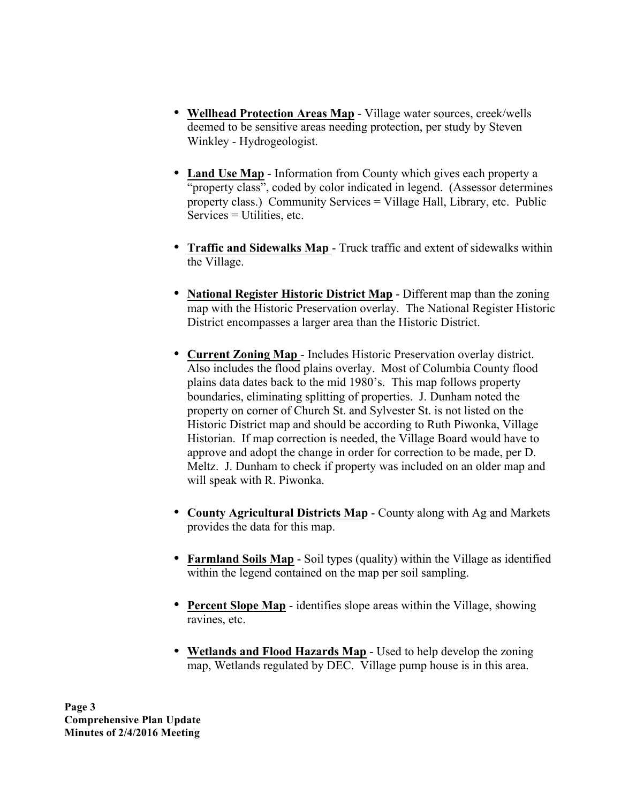- **Wellhead Protection Areas Map** Village water sources, creek/wells deemed to be sensitive areas needing protection, per study by Steven Winkley - Hydrogeologist.
- **Land Use Map** Information from County which gives each property a "property class", coded by color indicated in legend. (Assessor determines property class.) Community Services = Village Hall, Library, etc. Public Services = Utilities, etc.
- **Traffic and Sidewalks Map** Truck traffic and extent of sidewalks within the Village.
- **National Register Historic District Map** Different map than the zoning map with the Historic Preservation overlay. The National Register Historic District encompasses a larger area than the Historic District.
- **Current Zoning Map** Includes Historic Preservation overlay district. Also includes the flood plains overlay. Most of Columbia County flood plains data dates back to the mid 1980's. This map follows property boundaries, eliminating splitting of properties. J. Dunham noted the property on corner of Church St. and Sylvester St. is not listed on the Historic District map and should be according to Ruth Piwonka, Village Historian. If map correction is needed, the Village Board would have to approve and adopt the change in order for correction to be made, per D. Meltz. J. Dunham to check if property was included on an older map and will speak with R. Piwonka.
- **County Agricultural Districts Map** County along with Ag and Markets provides the data for this map.
- **Farmland Soils Map** Soil types (quality) within the Village as identified within the legend contained on the map per soil sampling.
- **Percent Slope Map** identifies slope areas within the Village, showing ravines, etc.
- **Wetlands and Flood Hazards Map** Used to help develop the zoning map, Wetlands regulated by DEC. Village pump house is in this area.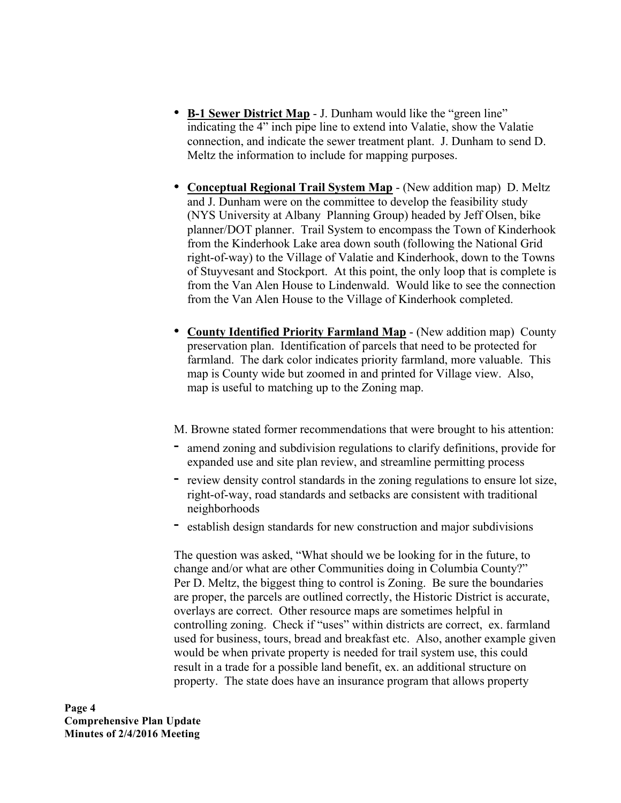- **B-1 Sewer District Map** J. Dunham would like the "green line" indicating the 4" inch pipe line to extend into Valatie, show the Valatie connection, and indicate the sewer treatment plant. J. Dunham to send D. Meltz the information to include for mapping purposes.
- **Conceptual Regional Trail System Map** (New addition map) D. Meltz and J. Dunham were on the committee to develop the feasibility study (NYS University at Albany Planning Group) headed by Jeff Olsen, bike planner/DOT planner. Trail System to encompass the Town of Kinderhook from the Kinderhook Lake area down south (following the National Grid right-of-way) to the Village of Valatie and Kinderhook, down to the Towns of Stuyvesant and Stockport. At this point, the only loop that is complete is from the Van Alen House to Lindenwald. Would like to see the connection from the Van Alen House to the Village of Kinderhook completed.
- **County Identified Priority Farmland Map** (New addition map) County preservation plan. Identification of parcels that need to be protected for farmland. The dark color indicates priority farmland, more valuable. This map is County wide but zoomed in and printed for Village view. Also, map is useful to matching up to the Zoning map.
- M. Browne stated former recommendations that were brought to his attention:
- **-** amend zoning and subdivision regulations to clarify definitions, provide for expanded use and site plan review, and streamline permitting process
- **-** review density control standards in the zoning regulations to ensure lot size, right-of-way, road standards and setbacks are consistent with traditional neighborhoods
- **-** establish design standards for new construction and major subdivisions

The question was asked, "What should we be looking for in the future, to change and/or what are other Communities doing in Columbia County?" Per D. Meltz, the biggest thing to control is Zoning. Be sure the boundaries are proper, the parcels are outlined correctly, the Historic District is accurate, overlays are correct. Other resource maps are sometimes helpful in controlling zoning. Check if "uses" within districts are correct, ex. farmland used for business, tours, bread and breakfast etc. Also, another example given would be when private property is needed for trail system use, this could result in a trade for a possible land benefit, ex. an additional structure on property. The state does have an insurance program that allows property